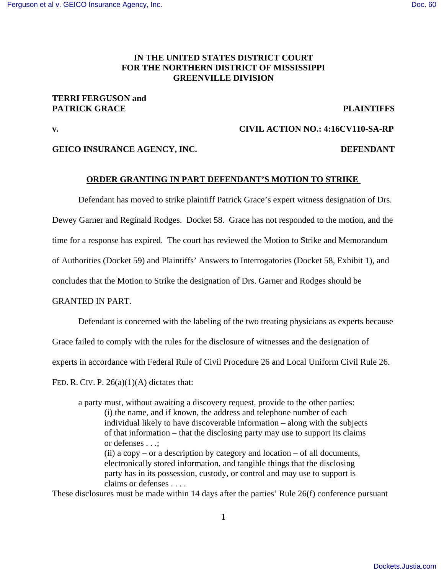# **IN THE UNITED STATES DISTRICT COURT FOR THE NORTHERN DISTRICT OF MISSISSIPPI GREENVILLE DIVISION**

## **TERRI FERGUSON and PATRICK GRACE PLAINTIFFS**

## **v. CIVIL ACTION NO.: 4:16CV110-SA-RP**

## **GEICO INSURANCE AGENCY, INC. DEFENDANT**

## **ORDER GRANTING IN PART DEFENDANT'S MOTION TO STRIKE**

Defendant has moved to strike plaintiff Patrick Grace's expert witness designation of Drs.

Dewey Garner and Reginald Rodges. Docket 58. Grace has not responded to the motion, and the

time for a response has expired. The court has reviewed the Motion to Strike and Memorandum

of Authorities (Docket 59) and Plaintiffs' Answers to Interrogatories (Docket 58, Exhibit 1), and

concludes that the Motion to Strike the designation of Drs. Garner and Rodges should be

#### GRANTED IN PART.

Defendant is concerned with the labeling of the two treating physicians as experts because

Grace failed to comply with the rules for the disclosure of witnesses and the designation of

experts in accordance with Federal Rule of Civil Procedure 26 and Local Uniform Civil Rule 26.

FED. R. CIV. P.  $26(a)(1)(A)$  dictates that:

a party must, without awaiting a discovery request, provide to the other parties: (i) the name, and if known, the address and telephone number of each individual likely to have discoverable information – along with the subjects of that information – that the disclosing party may use to support its claims or defenses . . .; (ii) a  $copy - or a description by category and location - of all documents,$ electronically stored information, and tangible things that the disclosing party has in its possession, custody, or control and may use to support is claims or defenses . . . .

These disclosures must be made within 14 days after the parties' Rule 26(f) conference pursuant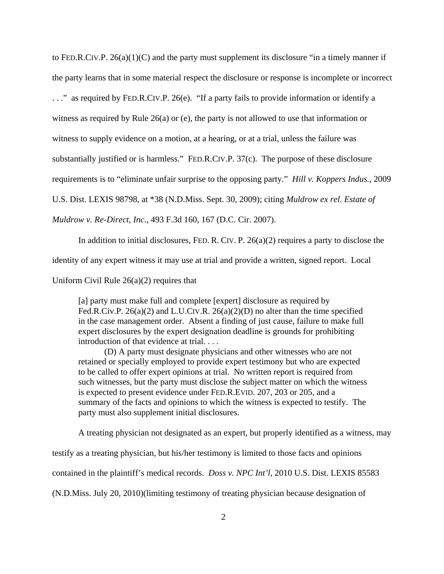to FED.R.CIV.P.  $26(a)(1)(C)$  and the party must supplement its disclosure "in a timely manner if the party learns that in some material respect the disclosure or response is incomplete or incorrect . . ." as required by FED.R.CIV.P. 26(e). "If a party fails to provide information or identify a witness as required by Rule 26(a) or (e), the party is not allowed to use that information or witness to supply evidence on a motion, at a hearing, or at a trial, unless the failure was substantially justified or is harmless." FED.R.CIV.P. 37(c). The purpose of these disclosure requirements is to "eliminate unfair surprise to the opposing party." *Hill v. Koppers Indus.*, 2009 U.S. Dist. LEXIS 98798, at \*38 (N.D.Miss. Sept. 30, 2009); citing *Muldrow ex rel. Estate of Muldrow v. Re-Direct, Inc.*, 493 F.3d 160, 167 (D.C. Cir. 2007).

In addition to initial disclosures, FED. R. CIV. P. 26(a)(2) requires a party to disclose the identity of any expert witness it may use at trial and provide a written, signed report. Local

Uniform Civil Rule  $26(a)(2)$  requires that

[a] party must make full and complete [expert] disclosure as required by Fed.R.Civ.P.  $26(a)(2)$  and L.U.CIV.R.  $26(a)(2)(D)$  no alter than the time specified in the case management order. Absent a finding of just cause, failure to make full expert disclosures by the expert designation deadline is grounds for prohibiting introduction of that evidence at trial. . . .

(D) A party must designate physicians and other witnesses who are not retained or specially employed to provide expert testimony but who are expected to be called to offer expert opinions at trial. No written report is required from such witnesses, but the party must disclose the subject matter on which the witness is expected to present evidence under FED.R.EVID. 207, 203 or 205, and a summary of the facts and opinions to which the witness is expected to testify. The party must also supplement initial disclosures.

A treating physician not designated as an expert, but properly identified as a witness, may

testify as a treating physician, but his/her testimony is limited to those facts and opinions

contained in the plaintiff's medical records. *Doss v. NPC Int'l*, 2010 U.S. Dist. LEXIS 85583

(N.D.Miss. July 20, 2010)(limiting testimony of treating physician because designation of